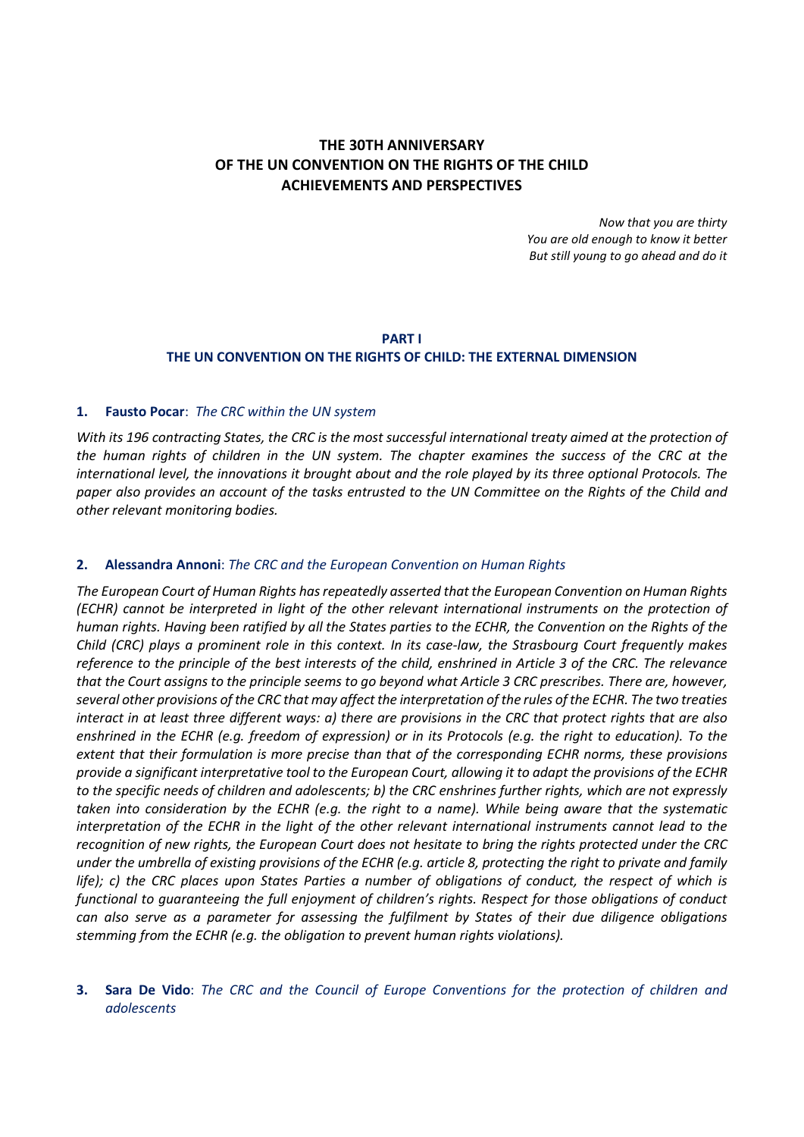# **THE 30TH ANNIVERSARY OF THE UN CONVENTION ON THE RIGHTS OF THE CHILD ACHIEVEMENTS AND PERSPECTIVES**

*Now that you are thirty You are old enough to know it better But still young to go ahead and do it*

## **PART I THE UN CONVENTION ON THE RIGHTS OF CHILD: THE EXTERNAL DIMENSION**

## **1. Fausto Pocar**: *The CRC within the UN system*

With its 196 contracting States, the CRC is the most successful international treaty aimed at the protection of the human rights of children in the UN system. The chapter examines the success of the CRC at the international level, the innovations it brought about and the role played by its three optional Protocols. The paper also provides an account of the tasks entrusted to the UN Committee on the Rights of the Child and *other relevant monitoring bodies.*

#### **2. Alessandra Annoni**: *The CRC and the European Convention on Human Rights*

*The European Court of Human Rights hasrepeatedly asserted that the European Convention on Human Rights (ECHR) cannot be interpreted in light of the other relevant international instruments on the protection of* human rights. Having been ratified by all the States parties to the ECHR, the Convention on the Rights of the Child (CRC) plays a prominent role in this context. In its case-law, the Strasbourg Court frequently makes reference to the principle of the best interests of the child, enshrined in Article 3 of the CRC. The relevance that the Court assigns to the principle seems to go beyond what Article 3 CRC prescribes. There are, however, several other provisions of the CRC that may affect the interpretation of the rules of the ECHR. The two treaties interact in at least three different ways: a) there are provisions in the CRC that protect rights that are also enshrined in the ECHR (e.g. freedom of expression) or in its Protocols (e.g. the right to education). To the *extent that their formulation is more precise than that of the corresponding ECHR norms, these provisions* provide a significant interpretative tool to the European Court, allowing it to adapt the provisions of the ECHR to the specific needs of children and adolescents; b) the CRC enshrines further rights, which are not expressly taken into consideration by the ECHR (e.g. the right to a name). While being aware that the systematic interpretation of the ECHR in the light of the other relevant international instruments cannot lead to the recognition of new rights, the European Court does not hesitate to bring the rights protected under the CRC under the umbrella of existing provisions of the ECHR (e.g. article 8, protecting the right to private and family life); c) the CRC places upon States Parties a number of obligations of conduct, the respect of which is *functional to guaranteeing the full enjoyment of children's rights. Respect for those obligations of conduct can also serve as a parameter for assessing the fulfilment by States of their due diligence obligations stemming from the ECHR (e.g. the obligation to prevent human rights violations).*

## **3. Sara De Vido**: *The CRC and the Council of Europe Conventions for the protection of children and adolescents*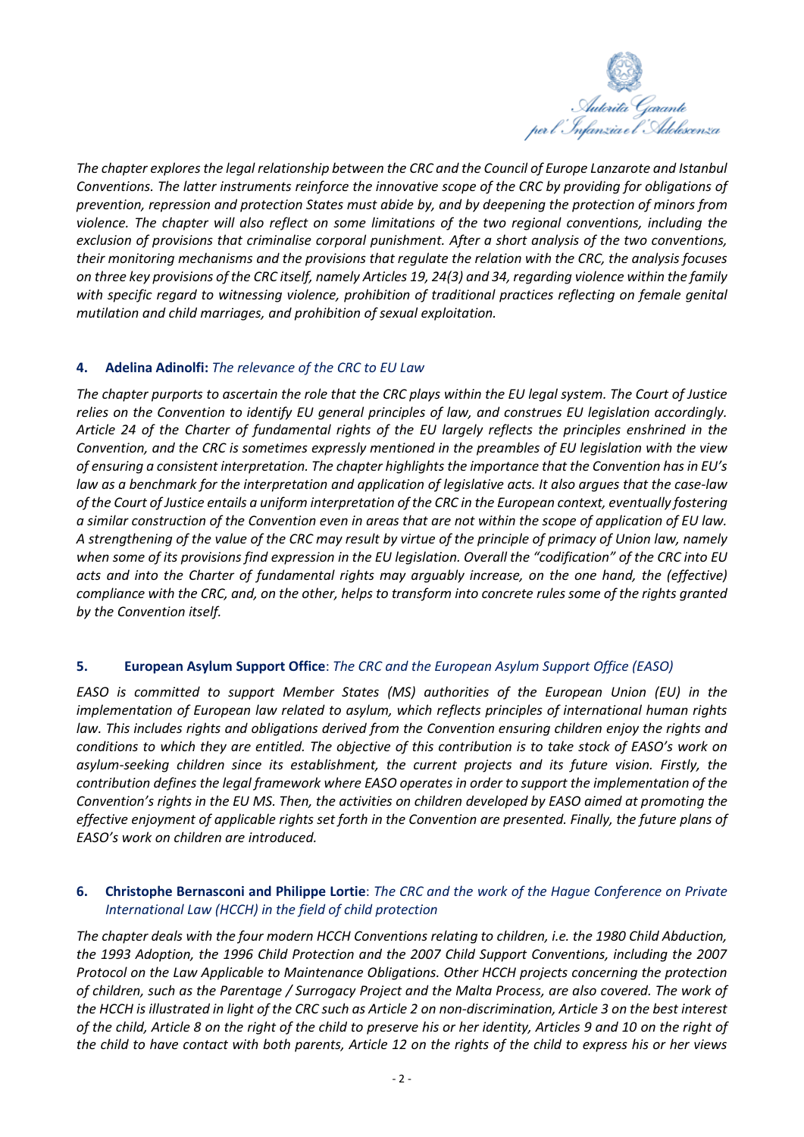

*The chapter exploresthe legal relationship between the CRC and the Council of Europe Lanzarote and Istanbul Conventions. The latter instruments reinforce the innovative scope of the CRC by providing for obligations of prevention, repression and protection States must abide by, and by deepening the protection of minors from violence. The chapter will also reflect on some limitations of the two regional conventions, including the exclusion of provisions that criminalise corporal punishment. After a short analysis of the two conventions, their monitoring mechanisms and the provisions that regulate the relation with the CRC, the analysis focuses* on three key provisions of the CRC itself, namely Articles 19, 24(3) and 34, regarding violence within the family *with specific regard to witnessing violence, prohibition of traditional practices reflecting on female genital mutilation and child marriages, and prohibition of sexual exploitation.*

## **4. Adelina Adinolfi:** *The relevance of the CRC to EU Law*

The chapter purports to ascertain the role that the CRC plays within the EU legal system. The Court of Justice *relies on the Convention to identify EU general principles of law, and construes EU legislation accordingly.* Article 24 of the Charter of fundamental rights of the EU largely reflects the principles enshrined in the *Convention, and the CRC is sometimes expressly mentioned in the preambles of EU legislation with the view of ensuring a consistent interpretation. The chapter highlights the importance that the Convention has in EU's* law as a benchmark for the interpretation and application of legislative acts. It also argues that the case-law of the Court of Justice entails a uniform interpretation of the CRC in the European context, eventually fostering a similar construction of the Convention even in areas that are not within the scope of application of EU law. A strengthening of the value of the CRC may result by virtue of the principle of primacy of Union law, namely when some of its provisions find expression in the EU legislation. Overall the "codification" of the CRC into EU *acts and into the Charter of fundamental rights may arguably increase, on the one hand, the (effective)* compliance with the CRC, and, on the other, helps to transform into concrete rules some of the rights granted *by the Convention itself.*

## **5. European Asylum Support Office**: *The CRC and the European Asylum Support Office (EASO)*

*EASO is committed to support Member States (MS) authorities of the European Union (EU) in the implementation of European law related to asylum, which reflects principles of international human rights law. This includes rights and obligations derived from the Convention ensuring children enjoy the rights and* conditions to which they are entitled. The objective of this contribution is to take stock of EASO's work on *asylum-seeking children since its establishment, the current projects and its future vision. Firstly, the contribution defines the legal framework where EASO operates in order to support the implementation of the* Convention's rights in the EU MS. Then, the activities on children developed by EASO aimed at promoting the effective enjoyment of applicable rights set forth in the Convention are presented. Finally, the future plans of *EASO's work on children are introduced.*

## **6. Christophe Bernasconi and Philippe Lortie**: *The CRC and the work of the Hague Conference on Private International Law (HCCH) in the field of child protection*

*The chapter deals with the four modern HCCH Conventions relating to children, i.e. the 1980 Child Abduction, the 1993 Adoption, the 1996 Child Protection and the 2007 Child Support Conventions, including the 2007 Protocol on the Law Applicable to Maintenance Obligations. Other HCCH projects concerning the protection of children, such as the Parentage / Surrogacy Project and the Malta Process, are also covered. The work of the HCCH is illustrated in light of the CRC such as Article 2 on non-discrimination, Article 3 on the best interest of the child, Article 8 on the right of the child to preserve his or her identity, Articles 9 and 10 on the right of the child to have contact with both parents, Article 12 on the rights of the child to express his or her views*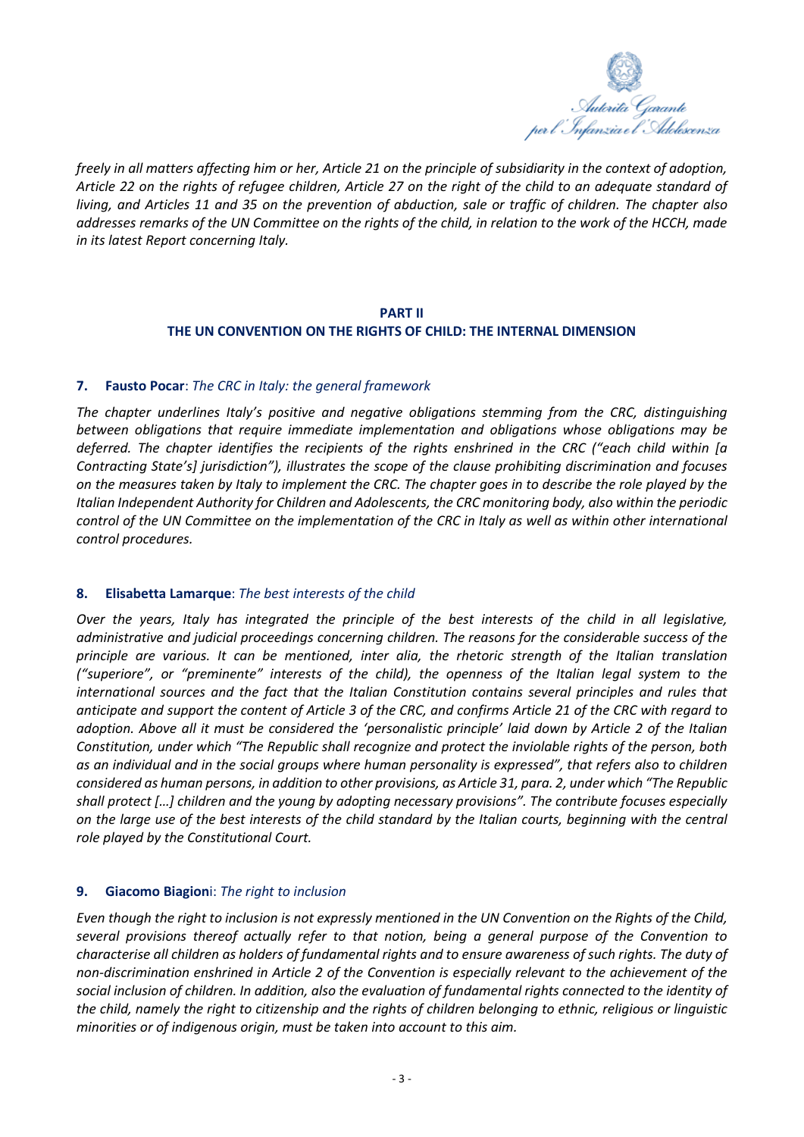

*freely in all matters affecting him or her, Article 21 on the principle of subsidiarity in the context of adoption, Article 22 on the rights of refugee children, Article 27 on the right of the child to an adequate standard of living, and Articles 11 and 35 on the prevention of abduction, sale or traffic of children. The chapter also addresses remarks of the UN Committee on the rights of the child, in relation to the work of the HCCH, made in its latest Report concerning Italy.*

## **PART II THE UN CONVENTION ON THE RIGHTS OF CHILD: THE INTERNAL DIMENSION**

## **7. Fausto Pocar**: *The CRC in Italy: the general framework*

*The chapter underlines Italy's positive and negative obligations stemming from the CRC, distinguishing between obligations that require immediate implementation and obligations whose obligations may be deferred. The chapter identifies the recipients of the rights enshrined in the CRC ("each child within [a Contracting State's] jurisdiction"), illustrates the scope of the clause prohibiting discrimination and focuses* on the measures taken by Italy to implement the CRC. The chapter goes in to describe the role played by the *Italian Independent Authority for Children and Adolescents, the CRC monitoring body, also within the periodic* control of the UN Committee on the implementation of the CRC in Italy as well as within other international *control procedures.*

## **8. Elisabetta Lamarque**: *The best interests of the child*

Over the years, Italy has integrated the principle of the best interests of the child in all legislative, *administrative and judicial proceedings concerning children. The reasons for the considerable success of the principle are various. It can be mentioned, inter alia, the rhetoric strength of the Italian translation* ("superiore", or "preminente" interests of the child), the openness of the Italian legal system to the *international sources and the fact that the Italian Constitution contains several principles and rules that* anticipate and support the content of Article 3 of the CRC, and confirms Article 21 of the CRC with regard to adoption. Above all it must be considered the 'personalistic principle' laid down by Article 2 of the Italian *Constitution, under which "The Republic shall recognize and protect the inviolable rights of the person, both* as an individual and in the social aroups where human personality is expressed", that refers also to children considered as human persons, in addition to other provisions, as Article 31, para. 2, under which "The Republic *shall protect […] children and the young by adopting necessary provisions". The contribute focuses especially* on the large use of the best interests of the child standard by the Italian courts, beginning with the central *role played by the Constitutional Court.*

## **9. Giacomo Biagion**i: *The right to inclusion*

Even though the right to inclusion is not expressly mentioned in the UN Convention on the Rights of the Child, *several provisions thereof actually refer to that notion, being a general purpose of the Convention to* characterise all children as holders of fundamental rights and to ensure awareness of such rights. The duty of *non-discrimination enshrined in Article 2 of the Convention is especially relevant to the achievement of the* social inclusion of children. In addition, also the evaluation of fundamental rights connected to the identity of the child, namely the right to citizenship and the rights of children belonging to ethnic, religious or linguistic *minorities or of indigenous origin, must be taken into account to this aim.*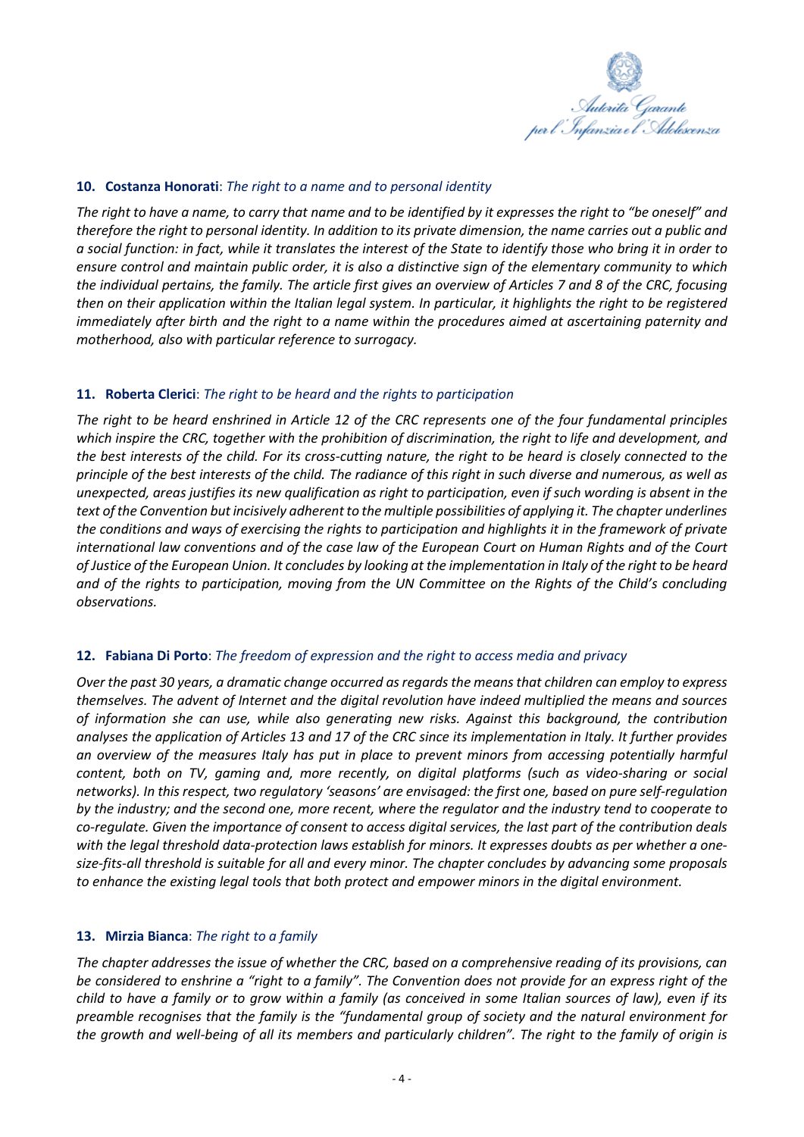

### **10. Costanza Honorati**: *The right to a name and to personal identity*

The right to have a name, to carry that name and to be identified by it expresses the right to "be oneself" and therefore the right to personal identity. In addition to its private dimension, the name carries out a public and a social function: in fact, while it translates the interest of the State to identify those who bring it in order to ensure control and maintain public order, it is also a distinctive sign of the elementary community to which the individual pertains, the family. The article first gives an overview of Articles 7 and 8 of the CRC, focusing then on their application within the Italian legal system. In particular, it highlights the right to be registered *immediately after birth and the right to a name within the procedures aimed at ascertaining paternity and motherhood, also with particular reference to surrogacy.*

## **11. Roberta Clerici**: *The right to be heard and the rights to participation*

The right to be heard enshrined in Article 12 of the CRC represents one of the four fundamental principles which inspire the CRC, together with the prohibition of discrimination, the right to life and development, and the best interests of the child. For its cross-cutting nature, the right to be heard is closely connected to the principle of the best interests of the child. The radiance of this right in such diverse and numerous, as well as unexpected, areas justifies its new qualification as right to participation, even if such wording is absent in the *text ofthe Convention but incisively adherentto the multiple possibilities of applying it. The chapter underlines* the conditions and ways of exercising the rights to participation and highlights it in the framework of private international law conventions and of the case law of the European Court on Human Rights and of the Court of Justice of the European Union. It concludes by looking at the implementation in Italy of the right to be heard and of the rights to participation, moving from the UN Committee on the Rights of the Child's concluding *observations.*

#### **12. Fabiana Di Porto**: *The freedom of expression and the right to access media and privacy*

*Over the past 30 years, a dramatic change occurred asregardsthe meansthat children can employ to express themselves. The advent of Internet and the digital revolution have indeed multiplied the means and sources of information she can use, while also generating new risks. Against this background, the contribution* analyses the application of Articles 13 and 17 of the CRC since its implementation in Italy. It further provides *an overview of the measures Italy has put in place to prevent minors from accessing potentially harmful content, both on TV, gaming and, more recently, on digital platforms (such as video-sharing or social networks). In this respect, two regulatory 'seasons' are envisaged: the first one, based on pure self-regulation* by the industry; and the second one, more recent, where the regulator and the industry tend to cooperate to co-requlate. Given the importance of consent to access digital services, the last part of the contribution deals with the legal threshold data-protection laws establish for minors. It expresses doubts as per whether a one*size-fits-all threshold is suitable for all and every minor. The chapter concludes by advancing some proposals to enhance the existing legal tools that both protect and empower minors in the digital environment.*

#### **13. Mirzia Bianca**: *The right to a family*

The chapter addresses the issue of whether the CRC, based on a comprehensive reading of its provisions, can be considered to enshrine a "right to a family". The Convention does not provide for an express right of the child to have a family or to grow within a family (as conceived in some Italian sources of law), even if its *preamble recognises that the family is the "fundamental group of society and the natural environment for* the growth and well-being of all its members and particularly children". The right to the family of origin is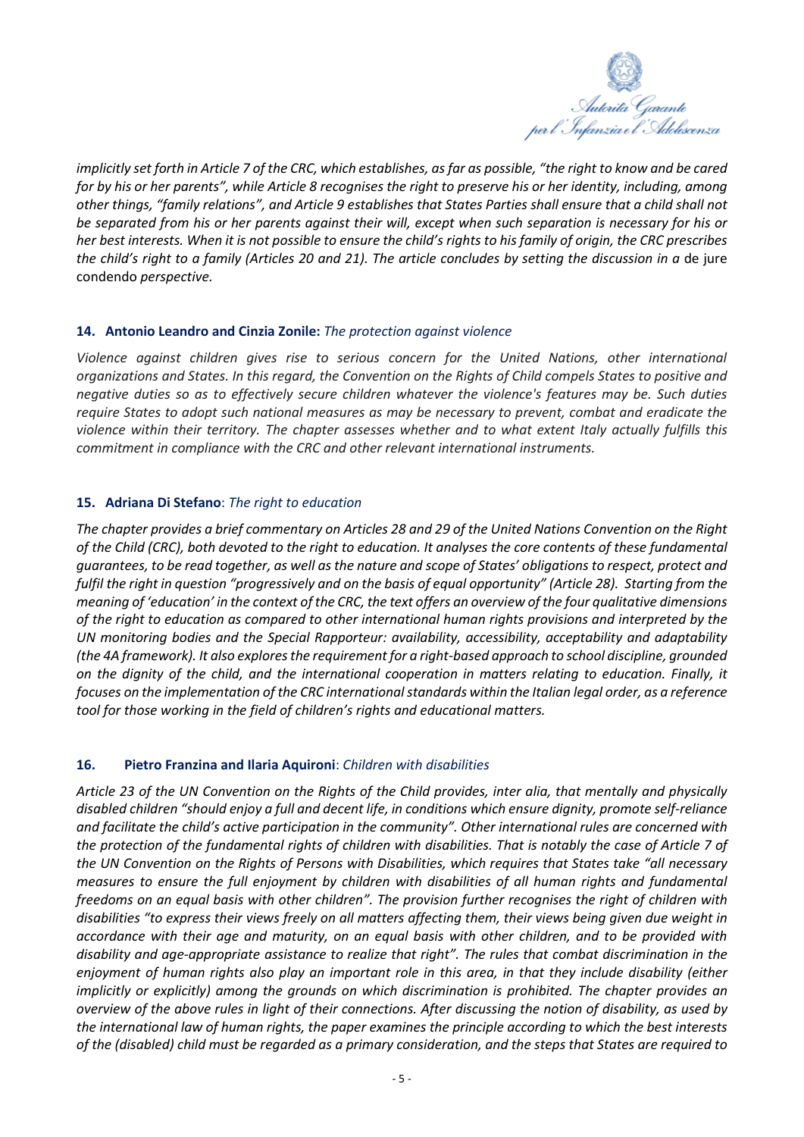

implicitly set forth in Article 7 of the CRC, which establishes, as far as possible, "the right to know and be cared for by his or her parents", while Article 8 recognises the right to preserve his or her identity, including, among other things, "family relations", and Article 9 establishes that States Parties shall ensure that a child shall not be separated from his or her parents against their will, except when such separation is necessary for his or her best interests. When it is not possible to ensure the child's rights to his family of origin, the CRC prescribes the child's right to a family (Articles 20 and 21). The article concludes by setting the discussion in a de jure condendo *perspective.*

## **14. Antonio Leandro and Cinzia Zonile:** *The protection against violence*

*Violence against children gives rise to serious concern for the United Nations, other international organizations and States. In this regard, the Convention on the Rights of Child compels States to positive and negative duties so as to effectively secure children whatever the violence's features may be. Such duties require States to adopt such national measures as may be necessary to prevent, combat and eradicate the violence within their territory. The chapter assesses whether and to what extent Italy actually fulfills this commitment in compliance with the CRC and other relevant international instruments.*

## **15. Adriana Di Stefano**: *The right to education*

The chapter provides a brief commentary on Articles 28 and 29 of the United Nations Convention on the Right of the Child (CRC), both devoted to the right to education. It analyses the core contents of these fundamental guarantees, to be read together, as well as the nature and scope of States' obligations to respect, protect and fulfil the right in question "progressively and on the basis of equal opportunity" (Article 28). Starting from the meaning of 'education' in the context of the CRC, the text offers an overview of the four qualitative dimensions of the right to education as compared to other international human rights provisions and interpreted by the *UN monitoring bodies and the Special Rapporteur: availability, accessibility, acceptability and adaptability (the 4A framework). It also exploresthe requirement for a right-based approach to school discipline, grounded* on the dignity of the child, and the international cooperation in matters relating to education. Finally, it *focuses on the implementation of the CRC internationalstandards within the Italian legal order, as a reference tool for those working in the field of children's rights and educational matters.*

## **16. Pietro Franzina and Ilaria Aquironi**: *Children with disabilities*

Article 23 of the UN Convention on the Rights of the Child provides, inter alia, that mentally and physically disabled children "should enjoy a full and decent life, in conditions which ensure dignity, promote self-reliance *and facilitate the child's active participation in the community". Other international rules are concerned with* the protection of the fundamental rights of children with disabilities. That is notably the case of Article 7 of the UN Convention on the Rights of Persons with Disabilities, which requires that States take "all necessary *measures to ensure the full enjoyment by children with disabilities of all human rights and fundamental* freedoms on an equal basis with other children". The provision further recognises the right of children with disabilities "to express their views freely on all matters affecting them, their views being given due weight in accordance with their age and maturity, on an equal basis with other children, and to be provided with *disability and age-appropriate assistance to realize that right". The rules that combat discrimination in the* enjoyment of human rights also play an important role in this area, in that they include disability (either *implicitly or explicitly) among the grounds on which discrimination is prohibited. The chapter provides an* overview of the above rules in light of their connections. After discussing the notion of disability, as used by the international law of human rights, the paper examines the principle according to which the best interests of the (disabled) child must be regarded as a primary consideration, and the steps that States are required to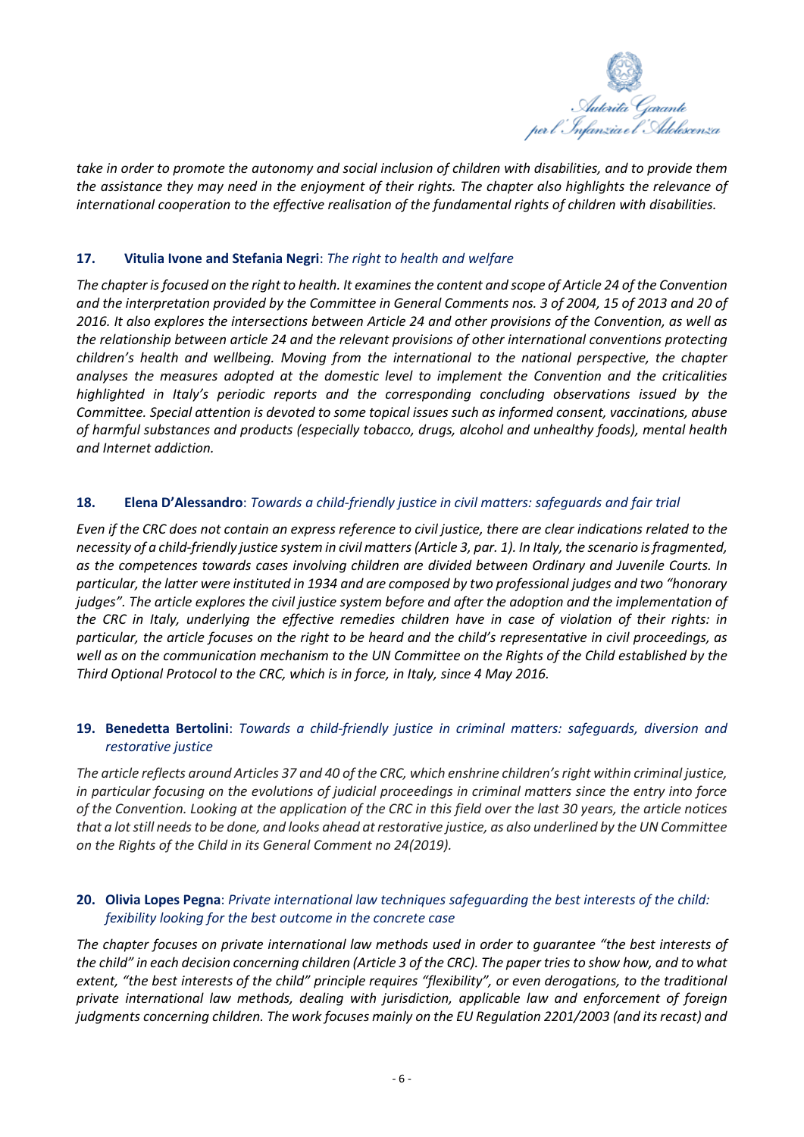

take in order to promote the autonomy and social inclusion of children with disabilities, and to provide them the assistance they may need in the enjoyment of their rights. The chapter also highlights the relevance of *international cooperation to the effective realisation of the fundamental rights of children with disabilities.*

## **17. Vitulia Ivone and Stefania Negri**: *The right to health and welfare*

The chapter is focused on the right to health. It examines the content and scope of Article 24 of the Convention and the interpretation provided by the Committee in General Comments nos. 3 of 2004, 15 of 2013 and 20 of 2016. It also explores the intersections between Article 24 and other provisions of the Convention, as well as *the relationship between article 24 and the relevant provisions of other international conventions protecting children's health and wellbeing. Moving from the international to the national perspective, the chapter analyses the measures adopted at the domestic level to implement the Convention and the criticalities highlighted in Italy's periodic reports and the corresponding concluding observations issued by the Committee. Special attention is devoted to some topical issues such as informed consent, vaccinations, abuse of harmful substances and products (especially tobacco, drugs, alcohol and unhealthy foods), mental health and Internet addiction.*

## **18. Elena D'Alessandro**: *Towards a child-friendly justice in civil matters: safeguards and fair trial*

Even if the CRC does not contain an express reference to civil justice, there are clear indications related to the necessity of a child-friendly justice system in civil matters (Article 3, par. 1). In Italy, the scenario is fragmented, *as the competences towards cases involving children are divided between Ordinary and Juvenile Courts. In* particular, the latter were instituted in 1934 and are composed by two professional judges and two "honorary judges". The article explores the civil justice system before and after the adoption and the implementation of the CRC in Italy, underlying the effective remedies children have in case of violation of their rights: in particular, the article focuses on the right to be heard and the child's representative in civil proceedings, as well as on the communication mechanism to the UN Committee on the Rights of the Child established by the *Third Optional Protocol to the CRC, which is in force, in Italy, since 4 May 2016.*

# **19. Benedetta Bertolini**: *Towards a child-friendly justice in criminal matters: safeguards, diversion and restorative justice*

*The article reflects around Articles 37 and 40 of the CRC, which enshrine children's right within criminal justice, in particular focusing on the evolutions of judicial proceedings in criminal matters since the entry into force of the Convention. Looking at the application of the CRC in this field over the last 30 years, the article notices that a lot still needs to be done, and looks ahead at restorative justice, as also underlined by the UN Committee on the Rights of the Child in its General Comment no 24(2019).*

## **20. Olivia Lopes Pegna**: *Private international law techniques safeguarding the best interests of the child: fexibility looking for the best outcome in the concrete case*

The chapter focuses on private international law methods used in order to quarantee "the best interests of the child" in each decision concerning children (Article 3 of the CRC). The paper tries to show how, and to what extent, "the best interests of the child" principle requires "flexibility", or even derogations, to the traditional *private international law methods, dealing with jurisdiction, applicable law and enforcement of foreign judgments concerning children. The work focuses mainly on the EU Regulation 2201/2003 (and itsrecast) and*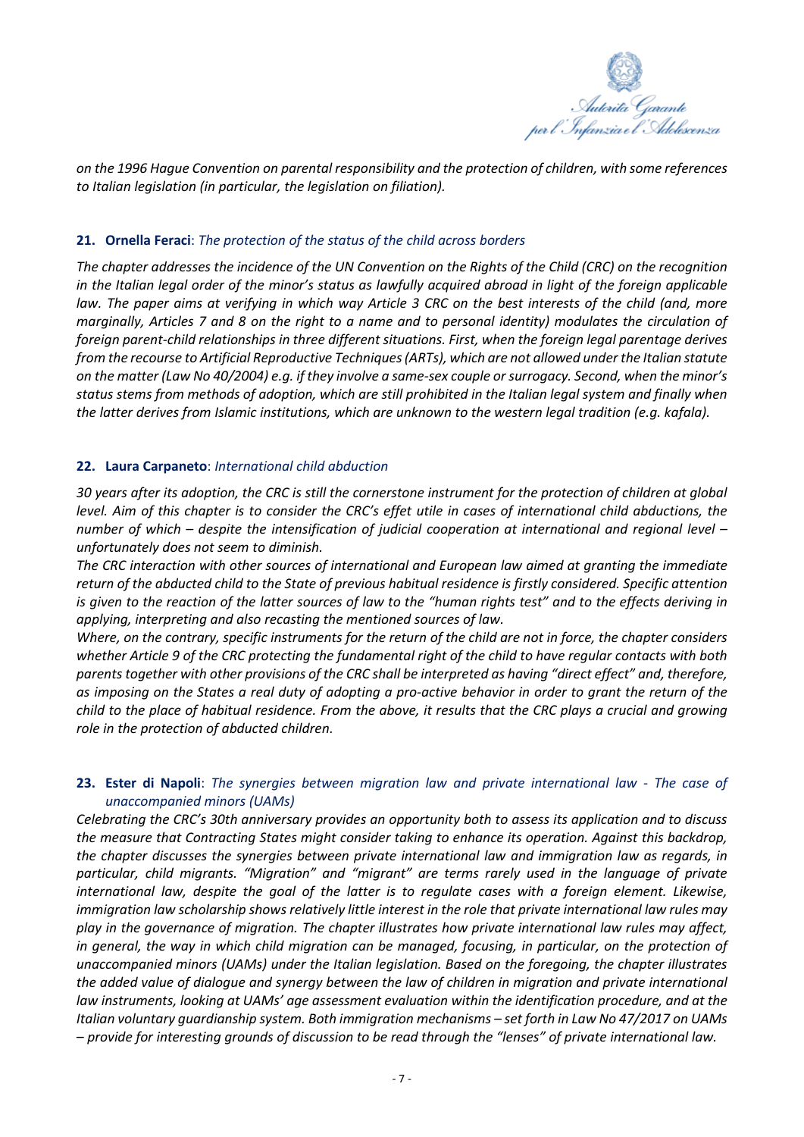

*on the 1996 Hague Convention on parental responsibility and the protection of children, with some references to Italian legislation (in particular, the legislation on filiation).*

## **21. Ornella Feraci**: *The protection of the status of the child across borders*

The chapter addresses the incidence of the UN Convention on the Rights of the Child (CRC) on the recognition in the Italian legal order of the minor's status as lawfully acquired abroad in light of the foreign applicable law. The paper aims at verifying in which way Article 3 CRC on the best interests of the child (and, more marainally. Articles 7 and 8 on the right to a name and to personal identity) modulates the circulation of *foreign parent-child relationships in three different situations. First, when the foreign legal parentage derives from the recourse to Artificial Reproductive Techniques(ARTs), which are not allowed under the Italian statute* on the matter (Law No 40/2004) e.g. if they involve a same-sex couple or surrogacy. Second, when the minor's status stems from methods of adoption, which are still prohibited in the Italian legal system and finally when *the latter derives from Islamic institutions, which are unknown to the western legal tradition (e.g. kafala).*

## **22. Laura Carpaneto**: *International child abduction*

30 years after its adoption, the CRC is still the cornerstone instrument for the protection of children at global level. Aim of this chapter is to consider the CRC's effet utile in cases of international child abductions, the *number of which – despite the intensification of judicial cooperation at international and regional level – unfortunately does not seem to diminish.*

*The CRC interaction with other sources of international and European law aimed at granting the immediate* return of the abducted child to the State of previous habitual residence is firstly considered. Specific attention is given to the reaction of the latter sources of law to the "human rights test" and to the effects deriving in *applying, interpreting and also recasting the mentioned sources of law.*

Where, on the contrary, specific instruments for the return of the child are not in force, the chapter considers whether Article 9 of the CRC protecting the fundamental right of the child to have regular contacts with both *parentstogether with other provisions of the CRC shall be interpreted as having "direct effect" and, therefore,* as imposing on the States a real duty of adopting a pro-active behavior in order to grant the return of the child to the place of habitual residence. From the above, it results that the CRC plays a crucial and growing *role in the protection of abducted children.*

# **23. Ester di Napoli**: *The synergies between migration law and private international law - The case of unaccompanied minors (UAMs)*

*Celebrating the CRC's 30th anniversary provides an opportunity both to assess its application and to discuss the measure that Contracting States might consider taking to enhance its operation. Against this backdrop, the chapter discusses the synergies between private international law and immigration law as regards, in particular, child migrants. "Migration" and "migrant" are terms rarely used in the language of private international law, despite the goal of the latter is to regulate cases with a foreign element. Likewise,* immigration law scholarship shows relatively little interest in the role that private international law rules may *play in the governance of migration. The chapter illustrates how private international law rules may affect,* in general, the way in which child migration can be managed, focusing, in particular, on the protection of *unaccompanied minors (UAMs) under the Italian legislation. Based on the foregoing, the chapter illustrates* the added value of dialogue and synergy between the law of children in migration and private international *law instruments, looking at UAMs' age assessment evaluation within the identification procedure, and at the Italian voluntary guardianship system. Both immigration mechanisms – set forth in Law No 47/2017 on UAMs* - provide for interesting grounds of discussion to be read through the "lenses" of private international law.